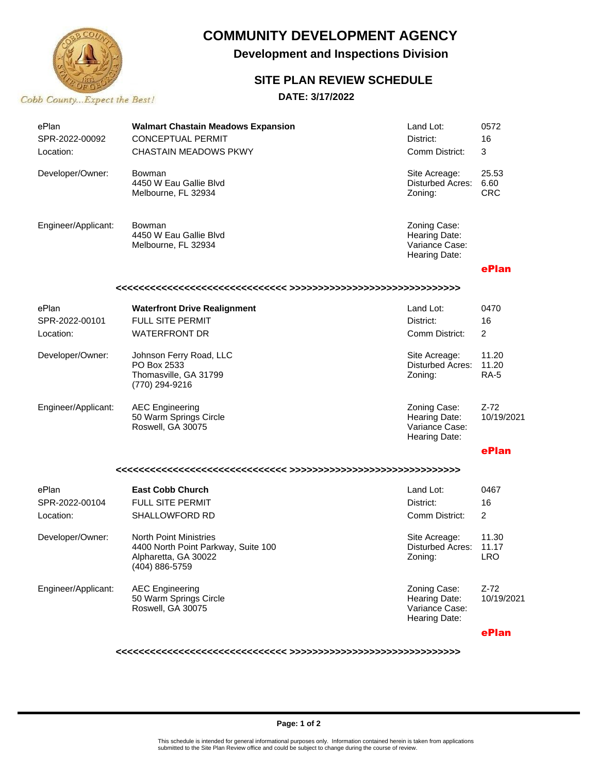

# **COMMUNITY DEVELOPMENT AGENCY**

**Development and Inspections Division**

## **SITE PLAN REVIEW SCHEDULE**

### **DATE: 3/17/2022**

| ePlan<br>SPR-2022-00092<br>Location: | <b>Walmart Chastain Meadows Expansion</b><br><b>CONCEPTUAL PERMIT</b><br><b>CHASTAIN MEADOWS PKWY</b>          | Land Lot:<br>District:<br>Comm District:                         | 0572<br>16<br>3               |  |  |
|--------------------------------------|----------------------------------------------------------------------------------------------------------------|------------------------------------------------------------------|-------------------------------|--|--|
| Developer/Owner:                     | Bowman<br>4450 W Eau Gallie Blyd<br>Melbourne, FL 32934                                                        | Site Acreage:<br>Disturbed Acres:<br>Zoning:                     | 25.53<br>6.60<br><b>CRC</b>   |  |  |
| Engineer/Applicant:                  | Bowman<br>4450 W Eau Gallie Blyd<br>Melbourne, FL 32934                                                        | Zoning Case:<br>Hearing Date:<br>Variance Case:<br>Hearing Date: |                               |  |  |
|                                      |                                                                                                                |                                                                  | ePlan                         |  |  |
|                                      |                                                                                                                |                                                                  |                               |  |  |
| ePlan<br>SPR-2022-00101<br>Location: | <b>Waterfront Drive Realignment</b><br><b>FULL SITE PERMIT</b><br><b>WATERFRONT DR</b>                         | Land Lot:<br>District:<br>Comm District:                         | 0470<br>16<br>2               |  |  |
| Developer/Owner:                     | Johnson Ferry Road, LLC<br>PO Box 2533<br>Thomasville, GA 31799<br>(770) 294-9216                              | Site Acreage:<br><b>Disturbed Acres:</b><br>Zoning:              | 11.20<br>11.20<br><b>RA-5</b> |  |  |
| Engineer/Applicant:                  | <b>AEC Engineering</b><br>50 Warm Springs Circle<br>Roswell, GA 30075                                          | Zoning Case:<br>Hearing Date:<br>Variance Case:<br>Hearing Date: | $Z-72$<br>10/19/2021          |  |  |
|                                      |                                                                                                                |                                                                  | ePlan                         |  |  |
|                                      |                                                                                                                |                                                                  |                               |  |  |
| ePlan<br>SPR-2022-00104<br>Location: | <b>East Cobb Church</b><br>FULL SITE PERMIT<br>SHALLOWFORD RD                                                  | Land Lot:<br>District:<br>Comm District:                         | 0467<br>16<br>$\overline{2}$  |  |  |
| Developer/Owner:                     | <b>North Point Ministries</b><br>4400 North Point Parkway, Suite 100<br>Alpharetta, GA 30022<br>(404) 886-5759 | Site Acreage:<br>Disturbed Acres:<br>∠oning:                     | 11.30<br>11.17<br>LRO         |  |  |
| Engineer/Applicant:                  | <b>AEC Engineering</b><br>50 Warm Springs Circle<br>Roswell, GA 30075                                          | Zoning Case:<br>Hearing Date:<br>Variance Case:<br>Hearing Date: | $Z-72$<br>10/19/2021          |  |  |
|                                      |                                                                                                                |                                                                  | ePlan                         |  |  |

**<<<<<<<<<<<<<<<<<<<<<<<<<<<<<< >>>>>>>>>>>>>>>>>>>>>>>>>>>>>>**

#### **Page: 1 of 2**